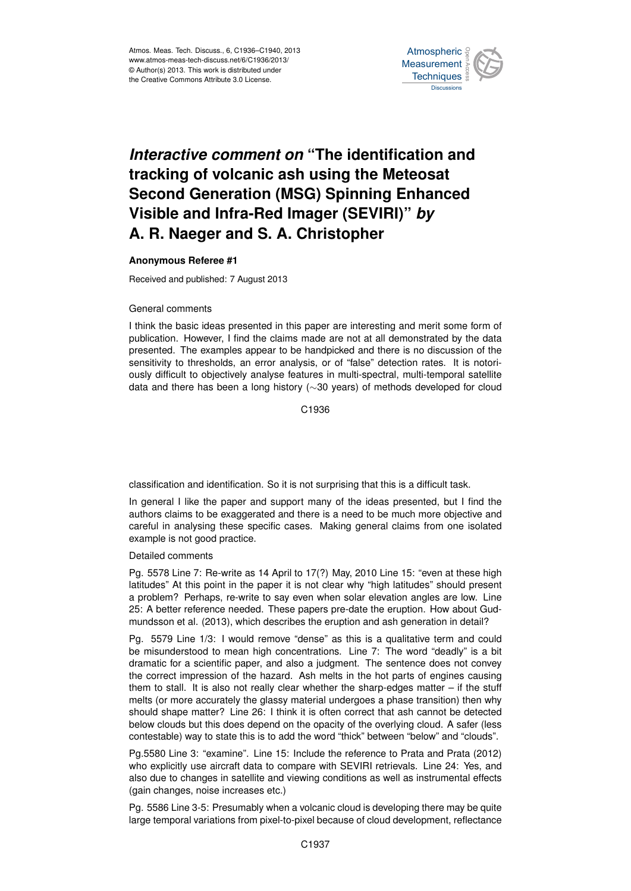

## Interactive comment on "The identification and of the Past of the Past  $\overline{\phantom{a}}$  $\overline{\phantom{a}}$ tracking of volcanic ash using the Meteosat Earth System Visible and Infra-Red Imager (SEVIRI)" *by* L<br>C a<br>. **Second Generation (MSG) Spinning Enhanced A. R. Naeger and S. A. Christopher**

## **Anonymous Referee #1**

Received and published: 7 August 2013

## General comments

I think the basic ideas presented in this paper are interesting and merit some form of p e<br>e presented. The examples appear to be handpicked and there is no discussion of the sensitivity to thresholds, an error analysis, or of "false" detection rates. It is notoriously difficult to objectively analyse features in multi-spectral, multi-temporal satellite h<br>si<br>u oı<br>S<br>S data and there has been a long history (∼30 years) of methods developed for cloud publication. However, I find the claims made are not at all demonstrated by the data

> Ocean Science  $\cdot$ C1936

classification and identification. So it is not surprising that this is a difficult task.

per and support many or the lueas presented, but<br>aggerated and there is a need to be much more obie r<br>S ا<br>ct<br>i authors claims to be exaggerated and there is a need to be much more objective and In general I like the paper and support many of the ideas presented, but I find the careful in analysing these specific cases. Making general claims from one isolated example is not good practice.

Detailed comments

Pg. 5578 Line 7: Re-write as 14 April to 17(?) May, 2010 Line 15: "even at these high latitudes" At this point in the paper it is not clear why "high latitudes" should present a problem? Perhaps, re-write to say even when solar elevation angles are low. Line 25: A better reference needed. These papers pre-date the eruption. How about Gudmundsson et al. (2013), which describes the eruption and ash generation in detail?

Pg. 5579 Line 1/3: I would remove "dense" as this is a qualitative term and could be misunderstood to mean high concentrations. Line 7: The word "deadly" is a bit dramatic for a scientific paper, and also a judgment. The sentence does not convey the correct impression of the hazard. Ash melts in the hot parts of engines causing them to stall. It is also not really clear whether the sharp-edges matter – if the stuff melts (or more accurately the glassy material undergoes a phase transition) then why should shape matter? Line 26: I think it is often correct that ash cannot be detected below clouds but this does depend on the opacity of the overlying cloud. A safer (less contestable) way to state this is to add the word "thick" between "below" and "clouds".

Pg.5580 Line 3: "examine". Line 15: Include the reference to Prata and Prata (2012) who explicitly use aircraft data to compare with SEVIRI retrievals. Line 24: Yes, and also due to changes in satellite and viewing conditions as well as instrumental effects (gain changes, noise increases etc.)

Pg. 5586 Line 3-5: Presumably when a volcanic cloud is developing there may be quite large temporal variations from pixel-to-pixel because of cloud development, reflectance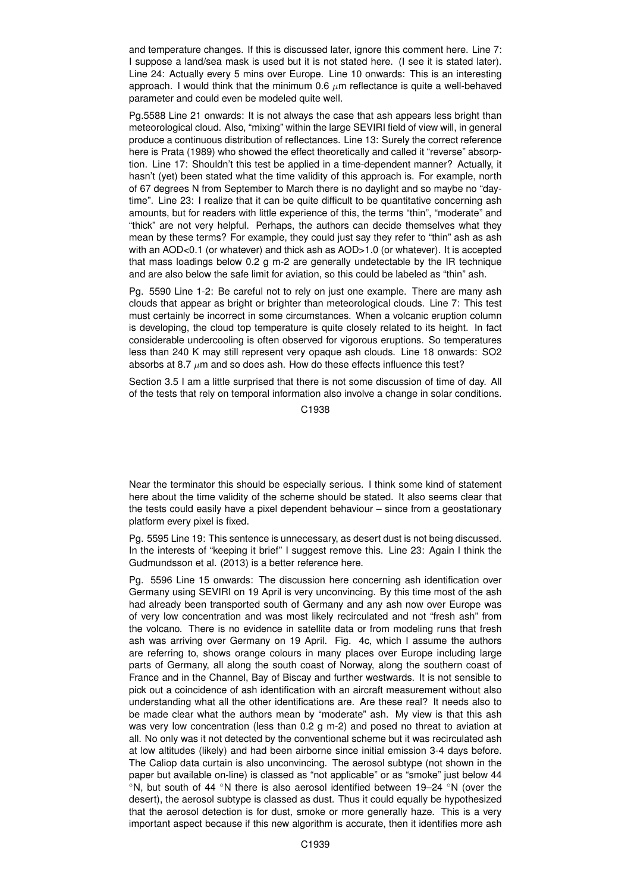and temperature changes. If this is discussed later, ignore this comment here. Line 7: I suppose a land/sea mask is used but it is not stated here. (I see it is stated later). Line 24: Actually every 5 mins over Europe. Line 10 onwards: This is an interesting approach. I would think that the minimum 0.6  $\mu$ m reflectance is quite a well-behaved parameter and could even be modeled quite well.

Pg.5588 Line 21 onwards: It is not always the case that ash appears less bright than meteorological cloud. Also, "mixing" within the large SEVIRI field of view will, in general produce a continuous distribution of reflectances. Line 13: Surely the correct reference here is Prata (1989) who showed the effect theoretically and called it "reverse" absorption. Line 17: Shouldn't this test be applied in a time-dependent manner? Actually, it hasn't (yet) been stated what the time validity of this approach is. For example, north of 67 degrees N from September to March there is no daylight and so maybe no "daytime". Line 23: I realize that it can be quite difficult to be quantitative concerning ash amounts, but for readers with little experience of this, the terms "thin", "moderate" and "thick" are not very helpful. Perhaps, the authors can decide themselves what they mean by these terms? For example, they could just say they refer to "thin" ash as ash with an AOD<0.1 (or whatever) and thick ash as AOD>1.0 (or whatever). It is accepted that mass loadings below 0.2 g m-2 are generally undetectable by the IR technique and are also below the safe limit for aviation, so this could be labeled as "thin" ash.

Pg. 5590 Line 1-2: Be careful not to rely on just one example. There are many ash clouds that appear as bright or brighter than meteorological clouds. Line 7: This test must certainly be incorrect in some circumstances. When a volcanic eruption column is developing, the cloud top temperature is quite closely related to its height. In fact considerable undercooling is often observed for vigorous eruptions. So temperatures less than 240 K may still represent very opaque ash clouds. Line 18 onwards: SO2 absorbs at 8.7  $\mu$ m and so does ash. How do these effects influence this test?

Section 3.5 I am a little surprised that there is not some discussion of time of day. All of the tests that rely on temporal information also involve a change in solar conditions.

C1938

Near the terminator this should be especially serious. I think some kind of statement here about the time validity of the scheme should be stated. It also seems clear that the tests could easily have a pixel dependent behaviour – since from a geostationary platform every pixel is fixed.

Pg. 5595 Line 19: This sentence is unnecessary, as desert dust is not being discussed. In the interests of "keeping it brief" I suggest remove this. Line 23: Again I think the Gudmundsson et al. (2013) is a better reference here.

Pg. 5596 Line 15 onwards: The discussion here concerning ash identification over Germany using SEVIRI on 19 April is very unconvincing. By this time most of the ash had already been transported south of Germany and any ash now over Europe was of very low concentration and was most likely recirculated and not "fresh ash" from the volcano. There is no evidence in satellite data or from modeling runs that fresh ash was arriving over Germany on 19 April. Fig. 4c, which I assume the authors are referring to, shows orange colours in many places over Europe including large parts of Germany, all along the south coast of Norway, along the southern coast of France and in the Channel, Bay of Biscay and further westwards. It is not sensible to pick out a coincidence of ash identification with an aircraft measurement without also understanding what all the other identifications are. Are these real? It needs also to be made clear what the authors mean by "moderate" ash. My view is that this ash was very low concentration (less than 0.2 g m-2) and posed no threat to aviation at all. No only was it not detected by the conventional scheme but it was recirculated ash at low altitudes (likely) and had been airborne since initial emission 3-4 days before. The Caliop data curtain is also unconvincing. The aerosol subtype (not shown in the paper but available on-line) is classed as "not applicable" or as "smoke" just below 44 ◦N, but south of 44 ◦N there is also aerosol identified between 19–24 ◦N (over the desert), the aerosol subtype is classed as dust. Thus it could equally be hypothesized that the aerosol detection is for dust, smoke or more generally haze. This is a very important aspect because if this new algorithm is accurate, then it identifies more ash